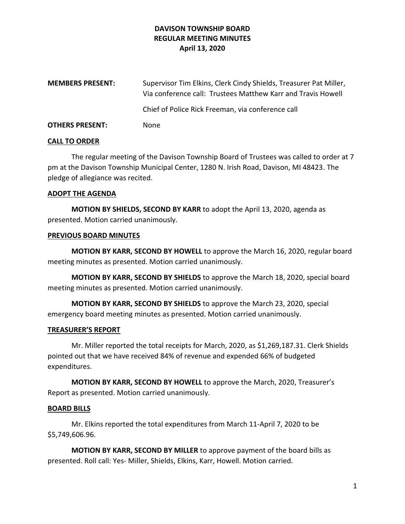# **DAVISON TOWNSHIP BOARD REGULAR MEETING MINUTES April 13, 2020**

| <b>MEMBERS PRESENT:</b> | Supervisor Tim Elkins, Clerk Cindy Shields, Treasurer Pat Miller,<br>Via conference call: Trustees Matthew Karr and Travis Howell |
|-------------------------|-----------------------------------------------------------------------------------------------------------------------------------|
|                         | Chief of Police Rick Freeman, via conference call                                                                                 |
| <b>OTHERS PRESENT:</b>  | None                                                                                                                              |

#### **CALL TO ORDER**

The regular meeting of the Davison Township Board of Trustees was called to order at 7 pm at the Davison Township Municipal Center, 1280 N. Irish Road, Davison, MI 48423. The pledge of allegiance was recited.

#### **ADOPT THE AGENDA**

**MOTION BY SHIELDS, SECOND BY KARR** to adopt the April 13, 2020, agenda as presented. Motion carried unanimously.

#### **PREVIOUS BOARD MINUTES**

**MOTION BY KARR, SECOND BY HOWELL** to approve the March 16, 2020, regular board meeting minutes as presented. Motion carried unanimously.

**MOTION BY KARR, SECOND BY SHIELDS** to approve the March 18, 2020, special board meeting minutes as presented. Motion carried unanimously.

**MOTION BY KARR, SECOND BY SHIELDS** to approve the March 23, 2020, special emergency board meeting minutes as presented. Motion carried unanimously.

### **TREASURER'S REPORT**

Mr. Miller reported the total receipts for March, 2020, as \$1,269,187.31. Clerk Shields pointed out that we have received 84% of revenue and expended 66% of budgeted expenditures.

**MOTION BY KARR, SECOND BY HOWELL** to approve the March, 2020, Treasurer's Report as presented. Motion carried unanimously.

### **BOARD BILLS**

Mr. Elkins reported the total expenditures from March 11-April 7, 2020 to be \$5,749,606.96.

**MOTION BY KARR, SECOND BY MILLER** to approve payment of the board bills as presented. Roll call: Yes- Miller, Shields, Elkins, Karr, Howell. Motion carried.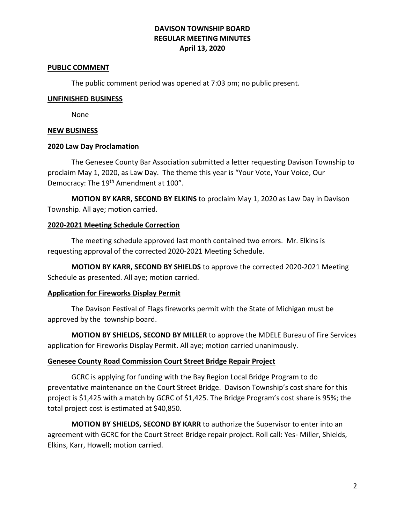# **DAVISON TOWNSHIP BOARD REGULAR MEETING MINUTES April 13, 2020**

#### **PUBLIC COMMENT**

The public comment period was opened at 7:03 pm; no public present.

#### **UNFINISHED BUSINESS**

None

### **NEW BUSINESS**

### **2020 Law Day Proclamation**

The Genesee County Bar Association submitted a letter requesting Davison Township to proclaim May 1, 2020, as Law Day. The theme this year is "Your Vote, Your Voice, Our Democracy: The 19<sup>th</sup> Amendment at 100".

**MOTION BY KARR, SECOND BY ELKINS** to proclaim May 1, 2020 as Law Day in Davison Township. All aye; motion carried.

### **2020-2021 Meeting Schedule Correction**

The meeting schedule approved last month contained two errors. Mr. Elkins is requesting approval of the corrected 2020-2021 Meeting Schedule.

**MOTION BY KARR, SECOND BY SHIELDS** to approve the corrected 2020-2021 Meeting Schedule as presented. All aye; motion carried.

### **Application for Fireworks Display Permit**

The Davison Festival of Flags fireworks permit with the State of Michigan must be approved by the township board.

**MOTION BY SHIELDS, SECOND BY MILLER** to approve the MDELE Bureau of Fire Services application for Fireworks Display Permit. All aye; motion carried unanimously.

### **Genesee County Road Commission Court Street Bridge Repair Project**

GCRC is applying for funding with the Bay Region Local Bridge Program to do preventative maintenance on the Court Street Bridge. Davison Township's cost share for this project is \$1,425 with a match by GCRC of \$1,425. The Bridge Program's cost share is 95%; the total project cost is estimated at \$40,850.

**MOTION BY SHIELDS, SECOND BY KARR** to authorize the Supervisor to enter into an agreement with GCRC for the Court Street Bridge repair project. Roll call: Yes- Miller, Shields, Elkins, Karr, Howell; motion carried.